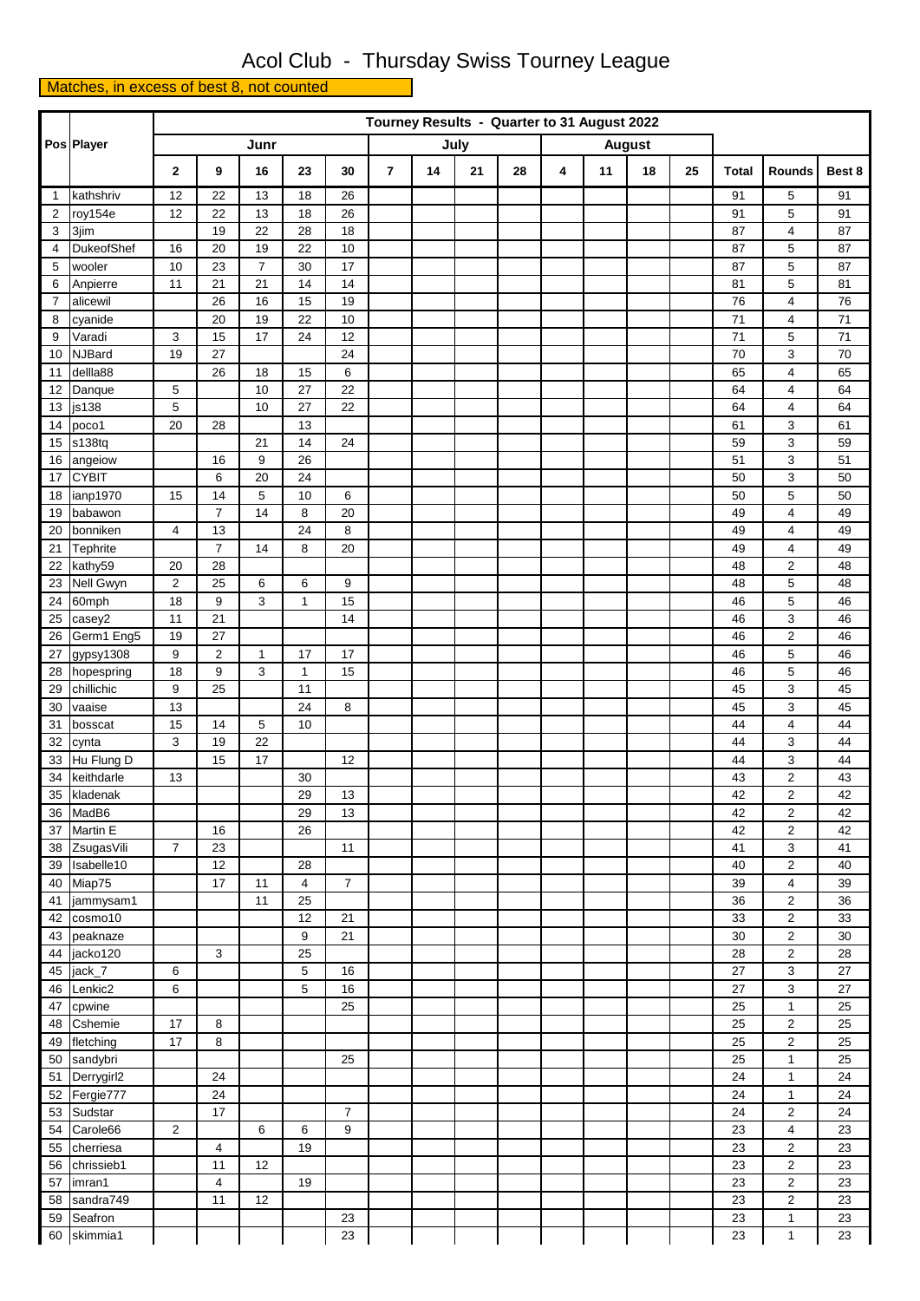## Acol Club - Thursday Swiss Tourney League

Matches, in excess of best 8, not counted

|                | Pos Player              |                  | Tourney Results - Quarter to 31 August 2022 |                |          |                |                |    |      |    |   |    |               |    |              |                              |          |
|----------------|-------------------------|------------------|---------------------------------------------|----------------|----------|----------------|----------------|----|------|----|---|----|---------------|----|--------------|------------------------------|----------|
|                |                         |                  |                                             | Junr           |          |                |                |    | July |    |   |    | <b>August</b> |    |              |                              |          |
|                |                         | $\mathbf{2}$     | 9                                           | 16             | 23       | 30             | $\overline{7}$ | 14 | 21   | 28 | 4 | 11 | 18            | 25 | <b>Total</b> | Rounds                       | Best 8   |
| $\mathbf{1}$   | kathshriv               | 12               | 22                                          | 13             | 18       | 26             |                |    |      |    |   |    |               |    | 91           | 5                            | 91       |
| $\overline{2}$ | roy154e                 | 12               | 22                                          | 13             | 18       | 26             |                |    |      |    |   |    |               |    | 91           | 5                            | 91       |
| 3              | 3jim                    |                  | 19                                          | 22             | 28       | 18             |                |    |      |    |   |    |               |    | 87           | 4                            | 87       |
| 4              | DukeofShef              | 16               | 20                                          | 19             | 22       | 10             |                |    |      |    |   |    |               |    | 87           | 5                            | 87       |
| 5              | wooler                  | 10               | 23                                          | $\overline{7}$ | 30       | 17             |                |    |      |    |   |    |               |    | 87           | 5                            | 87       |
| 6              | Anpierre                | 11               | 21                                          | 21             | 14       | 14             |                |    |      |    |   |    |               |    | 81           | 5                            | 81       |
| $\overline{7}$ | alicewil                |                  | 26                                          | 16             | 15       | 19             |                |    |      |    |   |    |               |    | 76           | 4                            | 76       |
| 8              | cyanide                 |                  | 20                                          | 19             | 22       | 10             |                |    |      |    |   |    |               |    | 71           | 4                            | 71       |
| 9              | Varadi                  | 3                | 15                                          | 17             | 24       | 12             |                |    |      |    |   |    |               |    | 71           | 5                            | 71       |
| 10             | <b>NJBard</b>           | 19               | 27                                          |                |          | 24             |                |    |      |    |   |    |               |    | 70           | 3                            | 70       |
| 11<br>12       | dellla88<br>Danque      | 5                | 26                                          | 18<br>10       | 15<br>27 | 6<br>22        |                |    |      |    |   |    |               |    | 65<br>64     | $\overline{\mathbf{4}}$<br>4 | 65<br>64 |
| 13             | js138                   | $\sqrt{5}$       |                                             | 10             | 27       | 22             |                |    |      |    |   |    |               |    | 64           | 4                            | 64       |
| 14             | poco1                   | 20               | 28                                          |                | 13       |                |                |    |      |    |   |    |               |    | 61           | 3                            | 61       |
| 15             | s138tq                  |                  |                                             | 21             | 14       | 24             |                |    |      |    |   |    |               |    | 59           | 3                            | 59       |
| 16             | angeiow                 |                  | 16                                          | 9              | 26       |                |                |    |      |    |   |    |               |    | 51           | 3                            | 51       |
| 17             | <b>CYBIT</b>            |                  | 6                                           | 20             | 24       |                |                |    |      |    |   |    |               |    | 50           | 3                            | 50       |
| 18             | ianp1970                | 15               | 14                                          | 5              | 10       | 6              |                |    |      |    |   |    |               |    | 50           | 5                            | 50       |
| 19             | babawon                 |                  | $\overline{7}$                              | 14             | 8        | 20             |                |    |      |    |   |    |               |    | 49           | 4                            | 49       |
| 20             | bonniken                | $\overline{4}$   | 13                                          |                | 24       | 8              |                |    |      |    |   |    |               |    | 49           | $\overline{4}$               | 49       |
| 21             | Tephrite                |                  | $\overline{7}$                              | 14             | 8        | 20             |                |    |      |    |   |    |               |    | 49           | $\overline{4}$               | 49       |
| 22             | kathy59                 | 20               | 28                                          |                |          |                |                |    |      |    |   |    |               |    | 48           | $\overline{\mathbf{c}}$      | 48       |
| 23             | Nell Gwyn               | $\boldsymbol{2}$ | 25                                          | 6              | 6        | 9              |                |    |      |    |   |    |               |    | 48           | 5                            | 48       |
| 24             | 60mph                   | 18               | 9                                           | 3              | 1        | 15             |                |    |      |    |   |    |               |    | 46           | 5                            | 46       |
| 25             | casey2                  | 11               | 21                                          |                |          | 14             |                |    |      |    |   |    |               |    | 46           | 3                            | 46       |
| 26             | Germ1 Eng5              | 19               | 27                                          |                |          |                |                |    |      |    |   |    |               |    | 46           | $\overline{2}$               | 46       |
| 27             | gypsy1308               | 9                | 2                                           | $\mathbf{1}$   | 17       | 17             |                |    |      |    |   |    |               |    | 46           | 5                            | 46       |
| 28             | hopespring              | 18               | 9                                           | 3              | 1        | 15             |                |    |      |    |   |    |               |    | 46           | 5                            | 46       |
| 29             | chillichic              | 9                | 25                                          |                | 11       |                |                |    |      |    |   |    |               |    | 45           | 3                            | 45       |
| 30             | vaaise                  | 13               |                                             |                | 24       | 8              |                |    |      |    |   |    |               |    | 45           | 3                            | 45       |
| 31             | bosscat                 | 15               | 14                                          | 5              | 10       |                |                |    |      |    |   |    |               |    | 44           | $\overline{\mathbf{4}}$      | 44       |
| 32             | cynta                   | 3                | 19                                          | 22             |          |                |                |    |      |    |   |    |               |    | 44           | 3                            | 44       |
| 33             | Hu Flung D              |                  | 15                                          | 17             |          | 12             |                |    |      |    |   |    |               |    | 44           | 3                            | 44       |
| 34             | keithdarle              | 13               |                                             |                | 30       |                |                |    |      |    |   |    |               |    | 43           | $\overline{\mathbf{c}}$      | 43       |
| 35             | kladenak                |                  |                                             |                | 29       | 13             |                |    |      |    |   |    |               |    | 42           | $\overline{2}$               | 42       |
|                | 36 MadB6                |                  |                                             |                | 29       | 13             |                |    |      |    |   |    |               |    | 42           | $\overline{2}$               | 42       |
|                | 37 Martin E             |                  | 16                                          |                | 26       |                |                |    |      |    |   |    |               |    | 42           | $\overline{2}$               | 42       |
|                | 38 ZsugasVili           | $\overline{7}$   | 23<br>12                                    |                |          | 11             |                |    |      |    |   |    |               |    | 41<br>40     | 3<br>$\overline{2}$          | 41<br>40 |
|                | 39 Isabelle10<br>Miap75 |                  | 17                                          | 11             | 28<br>4  | $\overline{7}$ |                |    |      |    |   |    |               |    | 39           | 4                            |          |
| 40<br>41       | jammysam1               |                  |                                             | 11             | 25       |                |                |    |      |    |   |    |               |    | 36           | $\overline{2}$               | 39<br>36 |
| 42             | cosmo10                 |                  |                                             |                | 12       | 21             |                |    |      |    |   |    |               |    | 33           | 2                            | 33       |
| 43             | peaknaze                |                  |                                             |                | 9        | 21             |                |    |      |    |   |    |               |    | 30           | $\overline{\mathbf{c}}$      | 30       |
| 44             | jacko120                |                  | 3                                           |                | 25       |                |                |    |      |    |   |    |               |    | 28           | $\overline{\mathbf{c}}$      | 28       |
| 45             | jack_7                  | 6                |                                             |                | 5        | 16             |                |    |      |    |   |    |               |    | 27           | 3                            | 27       |
| 46             | Lenkic2                 | 6                |                                             |                | 5        | 16             |                |    |      |    |   |    |               |    | 27           | 3                            | 27       |
| 47             | cpwine                  |                  |                                             |                |          | 25             |                |    |      |    |   |    |               |    | 25           | $\mathbf{1}$                 | 25       |
| 48             | Cshemie                 | 17               | 8                                           |                |          |                |                |    |      |    |   |    |               |    | 25           | $\overline{\mathbf{c}}$      | 25       |
|                | 49 fletching            | 17               | 8                                           |                |          |                |                |    |      |    |   |    |               |    | 25           | $\overline{2}$               | 25       |
| 50             | sandybri                |                  |                                             |                |          | 25             |                |    |      |    |   |    |               |    | 25           | 1                            | 25       |
| 51             | Derrygirl2              |                  | 24                                          |                |          |                |                |    |      |    |   |    |               |    | 24           | 1                            | 24       |
|                | 52 Fergie777            |                  | 24                                          |                |          |                |                |    |      |    |   |    |               |    | 24           | $\mathbf{1}$                 | 24       |
| 53             | Sudstar                 |                  | 17                                          |                |          | $\overline{7}$ |                |    |      |    |   |    |               |    | 24           | $\overline{2}$               | 24       |
|                | 54 Carole66             | 2                |                                             | 6              | 6        | 9              |                |    |      |    |   |    |               |    | 23           | 4                            | 23       |
| 55             | cherriesa               |                  | 4                                           |                | 19       |                |                |    |      |    |   |    |               |    | 23           | $\overline{2}$               | 23       |
|                | 56 chrissieb1           |                  | 11                                          | 12             |          |                |                |    |      |    |   |    |               |    | 23           | $\overline{2}$               | 23       |
|                | 57 imran1               |                  | 4                                           |                | 19       |                |                |    |      |    |   |    |               |    | 23           | $\overline{\mathbf{c}}$      | 23       |
|                | 58 sandra749            |                  | 11                                          | 12             |          |                |                |    |      |    |   |    |               |    | 23           | $\overline{\mathbf{c}}$      | 23       |
|                | 59 Seafron              |                  |                                             |                |          | 23             |                |    |      |    |   |    |               |    | 23           | $\mathbf{1}$                 | 23       |
|                | 60 skimmia1             |                  |                                             |                |          | 23             |                |    |      |    |   |    |               |    | 23           | 1                            | 23       |